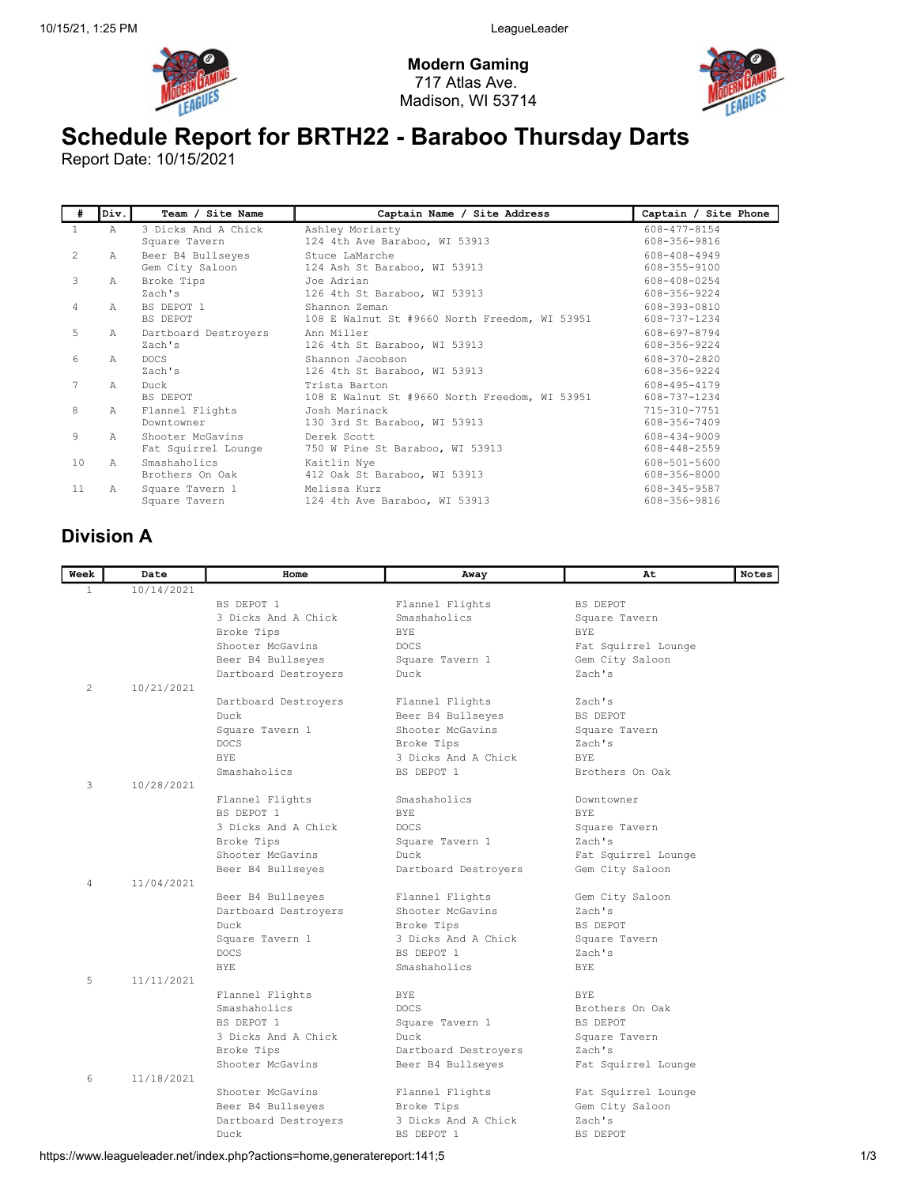

Modern Gaming 717 Atlas Ave. Madison, WI 53714



# Schedule Report for BRTH22 - Baraboo Thursday Darts

Report Date: 10/15/2021

| #       | Div.      | Team / Site Name                        | Captain Name / Site Address                                    | Captain / Site Phone         |
|---------|-----------|-----------------------------------------|----------------------------------------------------------------|------------------------------|
|         | A         | 3 Dicks And A Chick<br>Square Tavern    | Ashley Moriarty<br>124 4th Ave Baraboo, WI 53913               | 608-477-8154<br>608-356-9816 |
| $2^{1}$ | Α         | Beer B4 Bullseyes<br>Gem City Saloon    | Stuce LaMarche<br>124 Ash St Baraboo, WI 53913                 | 608-408-4949<br>608-355-9100 |
| 3       | А         | Broke Tips<br>Zach's                    | Joe Adrian<br>126 4th St Baraboo, WI 53913                     | 608-408-0254<br>608-356-9224 |
| 4       | $\lambda$ | BS DEPOT 1<br>BS DEPOT                  | Shannon Zeman<br>108 E Walnut St #9660 North Freedom, WI 53951 | 608-393-0810<br>608-737-1234 |
| 5       | A         | Dartboard Destroyers<br>Zach's          | Ann Miller<br>126 4th St Baraboo, WI 53913                     | 608-697-8794<br>608-356-9224 |
| 6       | A         | <b>DOCS</b><br>Zach's                   | Shannon Jacobson<br>126 4th St Baraboo, WI 53913               | 608-370-2820<br>608-356-9224 |
| 7       | A         | Duck<br>BS DEPOT                        | Trista Barton<br>108 E Walnut St #9660 North Freedom, WI 53951 | 608-495-4179<br>608-737-1234 |
| 8       | Α         | Flannel Flights<br>Downtowner           | Josh Marinack<br>130 3rd St Baraboo, WI 53913                  | 715-310-7751<br>608-356-7409 |
| 9       | A         | Shooter McGavins<br>Fat Squirrel Lounge | Derek Scott<br>750 W Pine St Baraboo, WI 53913                 | 608-434-9009<br>608-448-2559 |
| 10      | A         | Smashaholics<br>Brothers On Oak         | Kaitlin Nye<br>412 Oak St Baraboo, WI 53913                    | 608-501-5600<br>608-356-8000 |
| 11      | Α         | Square Tavern 1<br>Square Tavern        | Melissa Kurz<br>124 4th Ave Baraboo, WI 53913                  | 608-345-9587<br>608-356-9816 |

### Division A

| Week           | Date       | Home                           | Away                                | At                      | Notes |
|----------------|------------|--------------------------------|-------------------------------------|-------------------------|-------|
| $\mathbf{1}$   | 10/14/2021 |                                |                                     |                         |       |
|                |            | BS DEPOT 1                     | Flannel Flights                     | BS DEPOT                |       |
|                |            | 3 Dicks And A Chick            | Smashaholics                        | Square Tavern           |       |
|                |            | Broke Tips                     | BYE.                                | BYE.                    |       |
|                |            | Shooter McGavins               | <b>DOCS</b>                         | Fat Squirrel Lounge     |       |
|                |            | Beer B4 Bullseyes              | Square Tavern 1                     | Gem City Saloon         |       |
|                |            | Dartboard Destroyers           | Duck                                | Zach's                  |       |
| $\overline{c}$ | 10/21/2021 |                                |                                     |                         |       |
|                |            | Dartboard Destroyers           | Flannel Flights                     | Zach's                  |       |
|                |            | Duck                           | Beer B4 Bullseyes                   | BS DEPOT                |       |
|                |            | Square Tavern 1                | Shooter McGavins                    | Square Tavern           |       |
|                |            | <b>DOCS</b>                    | Broke Tips                          | Zach's                  |       |
|                |            | <b>BYE</b>                     | 3 Dicks And A Chick                 | <b>BYE</b>              |       |
|                |            | Smashaholics                   | BS DEPOT 1                          | Brothers On Oak         |       |
| 3              | 10/28/2021 |                                |                                     |                         |       |
|                |            | Flannel Flights                | Smashaholics                        | Downtowner              |       |
|                |            | BS DEPOT 1                     | BYE.                                | <b>BYE</b>              |       |
|                |            | 3 Dicks And A Chick            | <b>DOCS</b>                         | Square Tavern           |       |
|                |            | Broke Tips                     | Square Tavern 1                     | Zach's                  |       |
|                |            | Shooter McGavins               | Duck                                | Fat Squirrel Lounge     |       |
|                |            | Beer B4 Bullseyes              | Dartboard Destroyers                | Gem City Saloon         |       |
| 4              | 11/04/2021 |                                |                                     |                         |       |
|                |            | Beer B4 Bullseyes              | Flannel Flights<br>Shooter McGavins | Gem City Saloon         |       |
|                |            | Dartboard Destroyers           |                                     | Zach's                  |       |
|                |            | Duck                           | Broke Tips                          | BS DEPOT                |       |
|                |            | Square Tavern 1<br><b>DOCS</b> | 3 Dicks And A Chick<br>BS DEPOT 1   | Square Tavern<br>Zach's |       |
|                |            | <b>BYE</b>                     | Smashaholics                        | <b>BYE</b>              |       |
| 5              | 11/11/2021 |                                |                                     |                         |       |
|                |            | Flannel Flights                | <b>BYE</b>                          | BYE.                    |       |
|                |            | Smashaholics                   | <b>DOCS</b>                         | Brothers On Oak         |       |
|                |            | BS DEPOT 1                     | Square Tavern 1                     | BS DEPOT                |       |
|                |            | 3 Dicks And A Chick            | Duck                                | Square Tavern           |       |
|                |            | Broke Tips                     | Dartboard Destroyers                | Zach's                  |       |
|                |            | Shooter McGavins               | Beer B4 Bullseyes                   | Fat Squirrel Lounge     |       |
| 6              | 11/18/2021 |                                |                                     |                         |       |
|                |            | Shooter McGavins               | Flannel Flights                     | Fat Squirrel Lounge     |       |
|                |            | Beer B4 Bullseyes              | Broke Tips                          | Gem City Saloon         |       |
|                |            | Dartboard Destroyers           | 3 Dicks And A Chick                 | Zach's                  |       |
|                |            | Duck                           | BS DEPOT 1                          | BS DEPOT                |       |
|                |            |                                |                                     |                         |       |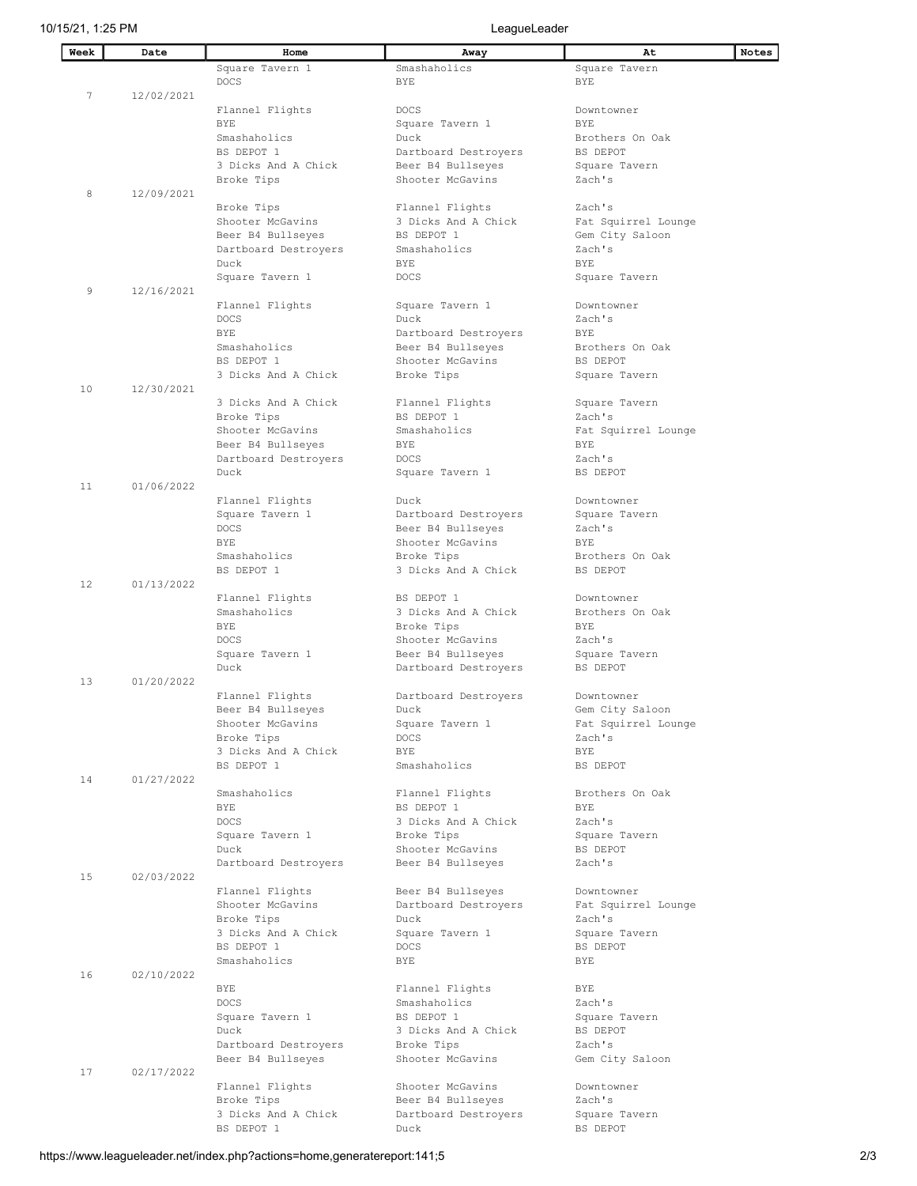| Week | Date       | Home                 | Away                 | At                  | <b>Notes</b> |
|------|------------|----------------------|----------------------|---------------------|--------------|
|      |            | Square Tavern 1      | Smashaholics         | Square Tavern       |              |
|      |            | <b>DOCS</b>          | BYE.                 | <b>BYE</b>          |              |
|      |            |                      |                      |                     |              |
| 7    | 12/02/2021 |                      |                      |                     |              |
|      |            | Flannel Flights      | <b>DOCS</b>          | Downtowner          |              |
|      |            | <b>BYE</b>           | Square Tavern 1      | <b>BYE</b>          |              |
|      |            | Smashaholics         | Duck                 | Brothers On Oak     |              |
|      |            | BS DEPOT 1           | Dartboard Destroyers | BS DEPOT            |              |
|      |            | 3 Dicks And A Chick  | Beer B4 Bullseyes    | Square Tavern       |              |
|      |            | Broke Tips           | Shooter McGavins     | Zach's              |              |
| 8    | 12/09/2021 |                      |                      |                     |              |
|      |            | Broke Tips           | Flannel Flights      | Zach's              |              |
|      |            | Shooter McGavins     | 3 Dicks And A Chick  | Fat Squirrel Lounge |              |
|      |            |                      | BS DEPOT 1           |                     |              |
|      |            | Beer B4 Bullseyes    |                      | Gem City Saloon     |              |
|      |            | Dartboard Destroyers | Smashaholics         | Zach's              |              |
|      |            | Duck                 | <b>BYE</b>           | <b>BYE</b>          |              |
|      |            | Square Tavern 1      | <b>DOCS</b>          | Square Tavern       |              |
| 9    | 12/16/2021 |                      |                      |                     |              |
|      |            | Flannel Flights      | Square Tavern 1      | Downtowner          |              |
|      |            | <b>DOCS</b>          | Duck                 | Zach's              |              |
|      |            | <b>BYE</b>           | Dartboard Destroyers | BYE                 |              |
|      |            | Smashaholics         | Beer B4 Bullseyes    | Brothers On Oak     |              |
|      |            | BS DEPOT 1           | Shooter McGavins     |                     |              |
|      |            |                      |                      | BS DEPOT            |              |
|      |            | 3 Dicks And A Chick  | Broke Tips           | Square Tavern       |              |
| 10   | 12/30/2021 |                      |                      |                     |              |
|      |            | 3 Dicks And A Chick  | Flannel Flights      | Square Tavern       |              |
|      |            | Broke Tips           | BS DEPOT 1           | Zach's              |              |
|      |            | Shooter McGavins     | Smashaholics         | Fat Squirrel Lounge |              |
|      |            | Beer B4 Bullseyes    | BYE                  | BYE                 |              |
|      |            | Dartboard Destroyers | <b>DOCS</b>          | Zach's              |              |
|      |            | Duck                 | Square Tavern 1      | BS DEPOT            |              |
| 11   | 01/06/2022 |                      |                      |                     |              |
|      |            |                      | Duck                 | Downtowner          |              |
|      |            | Flannel Flights      |                      |                     |              |
|      |            | Square Tavern 1      | Dartboard Destroyers | Square Tavern       |              |
|      |            | <b>DOCS</b>          | Beer B4 Bullseyes    | Zach's              |              |
|      |            | <b>BYE</b>           | Shooter McGavins     | <b>BYE</b>          |              |
|      |            | Smashaholics         | Broke Tips           | Brothers On Oak     |              |
|      |            | BS DEPOT 1           | 3 Dicks And A Chick  | BS DEPOT            |              |
| 12   | 01/13/2022 |                      |                      |                     |              |
|      |            | Flannel Flights      | BS DEPOT 1           | Downtowner          |              |
|      |            | Smashaholics         | 3 Dicks And A Chick  | Brothers On Oak     |              |
|      |            | BYE                  | Broke Tips           | <b>BYE</b>          |              |
|      |            | <b>DOCS</b>          | Shooter McGavins     | Zach's              |              |
|      |            | Square Tavern 1      | Beer B4 Bullseyes    | Square Tavern       |              |
|      |            |                      |                      |                     |              |
|      |            | Duck                 | Dartboard Destroyers | BS DEPOT            |              |
| 13   | 01/20/2022 |                      |                      |                     |              |
|      |            | Flannel Flights      | Dartboard Destroyers | Downtowner          |              |
|      |            | Beer B4 Bullseyes    | Duck                 | Gem City Saloon     |              |
|      |            | Shooter McGavins     | Square Tavern 1      | Fat Squirrel Lounge |              |
|      |            | Broke Tips           | <b>DOCS</b>          | Zach's              |              |
|      |            | 3 Dicks And A Chick  | BYE                  | BYE                 |              |
|      |            | BS DEPOT 1           | Smashaholics         | BS DEPOT            |              |
| 14   | 01/27/2022 |                      |                      |                     |              |
|      |            | Smashaholics         | Flannel Flights      | Brothers On Oak     |              |
|      |            |                      | BS DEPOT 1           |                     |              |
|      |            | BYE                  |                      | <b>BYE</b>          |              |
|      |            | <b>DOCS</b>          | 3 Dicks And A Chick  | Zach's              |              |
|      |            | Square Tavern 1      | Broke Tips           | Square Tavern       |              |
|      |            | Duck                 | Shooter McGavins     | BS DEPOT            |              |
|      |            | Dartboard Destroyers | Beer B4 Bullseyes    | Zach's              |              |
| 15   | 02/03/2022 |                      |                      |                     |              |
|      |            | Flannel Flights      | Beer B4 Bullseyes    | Downtowner          |              |
|      |            | Shooter McGavins     | Dartboard Destroyers | Fat Squirrel Lounge |              |
|      |            | Broke Tips           | Duck                 | Zach's              |              |
|      |            | 3 Dicks And A Chick  | Square Tavern 1      | Square Tavern       |              |
|      |            | BS DEPOT 1           | <b>DOCS</b>          | BS DEPOT            |              |
|      |            | Smashaholics         | BYE                  | BYE                 |              |
|      |            |                      |                      |                     |              |
| 16   | 02/10/2022 |                      |                      |                     |              |
|      |            | BYE                  | Flannel Flights      | BYE                 |              |
|      |            | <b>DOCS</b>          | Smashaholics         | Zach's              |              |
|      |            | Square Tavern 1      | BS DEPOT 1           | Square Tavern       |              |
|      |            | Duck                 | 3 Dicks And A Chick  | BS DEPOT            |              |
|      |            | Dartboard Destroyers | Broke Tips           | Zach's              |              |
|      |            | Beer B4 Bullseyes    | Shooter McGavins     | Gem City Saloon     |              |
| 17   | 02/17/2022 |                      |                      |                     |              |
|      |            | Flannel Flights      | Shooter McGavins     | Downtowner          |              |
|      |            | Broke Tips           | Beer B4 Bullseyes    | Zach's              |              |
|      |            | 3 Dicks And A Chick  |                      |                     |              |
|      |            |                      | Dartboard Destroyers | Square Tavern       |              |
|      |            | BS DEPOT 1           | Duck                 | BS DEPOT            |              |